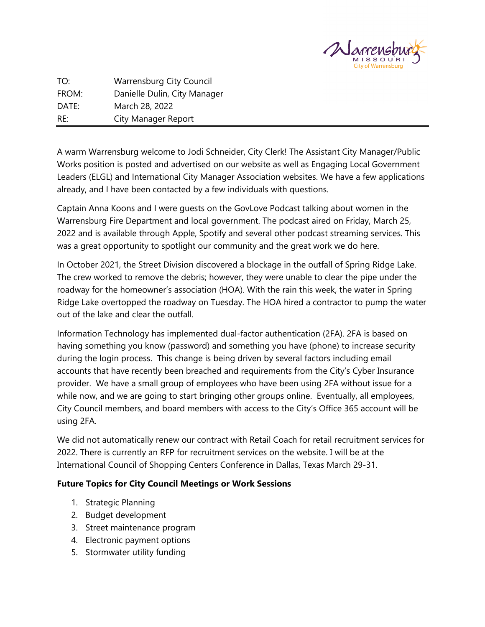

TO: Warrensburg City Council FROM: Danielle Dulin, City Manager DATE: March 28, 2022 RE: City Manager Report

A warm Warrensburg welcome to Jodi Schneider, City Clerk! The Assistant City Manager/Public Works position is posted and advertised on our website as well as Engaging Local Government Leaders (ELGL) and International City Manager Association websites. We have a few applications already, and I have been contacted by a few individuals with questions.

Captain Anna Koons and I were guests on the GovLove Podcast talking about women in the Warrensburg Fire Department and local government. The podcast aired on Friday, March 25, 2022 and is available through Apple, Spotify and several other podcast streaming services. This was a great opportunity to spotlight our community and the great work we do here.

In October 2021, the Street Division discovered a blockage in the outfall of Spring Ridge Lake. The crew worked to remove the debris; however, they were unable to clear the pipe under the roadway for the homeowner's association (HOA). With the rain this week, the water in Spring Ridge Lake overtopped the roadway on Tuesday. The HOA hired a contractor to pump the water out of the lake and clear the outfall.

Information Technology has implemented dual-factor authentication (2FA). 2FA is based on having something you know (password) and something you have (phone) to increase security during the login process. This change is being driven by several factors including email accounts that have recently been breached and requirements from the City's Cyber Insurance provider. We have a small group of employees who have been using 2FA without issue for a while now, and we are going to start bringing other groups online. Eventually, all employees, City Council members, and board members with access to the City's Office 365 account will be using 2FA.

We did not automatically renew our contract with Retail Coach for retail recruitment services for 2022. There is currently an RFP for recruitment services on the website. I will be at the International Council of Shopping Centers Conference in Dallas, Texas March 29-31.

# **Future Topics for City Council Meetings or Work Sessions**

- 1. Strategic Planning
- 2. Budget development
- 3. Street maintenance program
- 4. Electronic payment options
- 5. Stormwater utility funding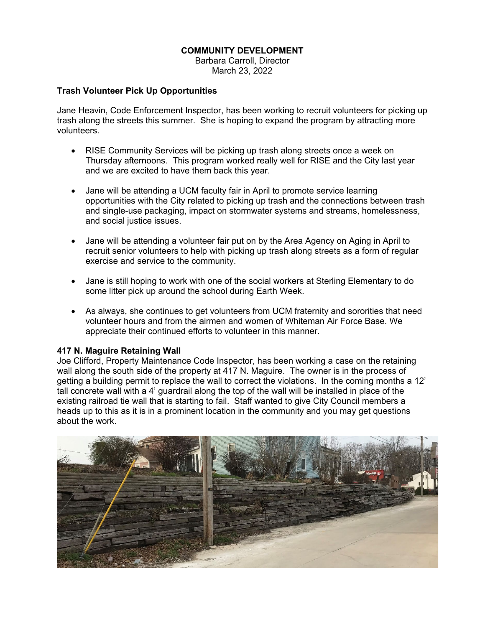#### **COMMUNITY DEVELOPMENT**

Barbara Carroll, Director March 23, 2022

#### **Trash Volunteer Pick Up Opportunities**

Jane Heavin, Code Enforcement Inspector, has been working to recruit volunteers for picking up trash along the streets this summer. She is hoping to expand the program by attracting more volunteers.

- RISE Community Services will be picking up trash along streets once a week on Thursday afternoons. This program worked really well for RISE and the City last year and we are excited to have them back this year.
- Jane will be attending a UCM faculty fair in April to promote service learning opportunities with the City related to picking up trash and the connections between trash and single-use packaging, impact on stormwater systems and streams, homelessness, and social justice issues.
- Jane will be attending a volunteer fair put on by the Area Agency on Aging in April to recruit senior volunteers to help with picking up trash along streets as a form of regular exercise and service to the community.
- Jane is still hoping to work with one of the social workers at Sterling Elementary to do some litter pick up around the school during Earth Week.
- As always, she continues to get volunteers from UCM fraternity and sororities that need volunteer hours and from the airmen and women of Whiteman Air Force Base. We appreciate their continued efforts to volunteer in this manner.

#### **417 N. Maguire Retaining Wall**

Joe Clifford, Property Maintenance Code Inspector, has been working a case on the retaining wall along the south side of the property at 417 N. Maguire. The owner is in the process of getting a building permit to replace the wall to correct the violations. In the coming months a 12' tall concrete wall with a 4' guardrail along the top of the wall will be installed in place of the existing railroad tie wall that is starting to fail. Staff wanted to give City Council members a heads up to this as it is in a prominent location in the community and you may get questions about the work.

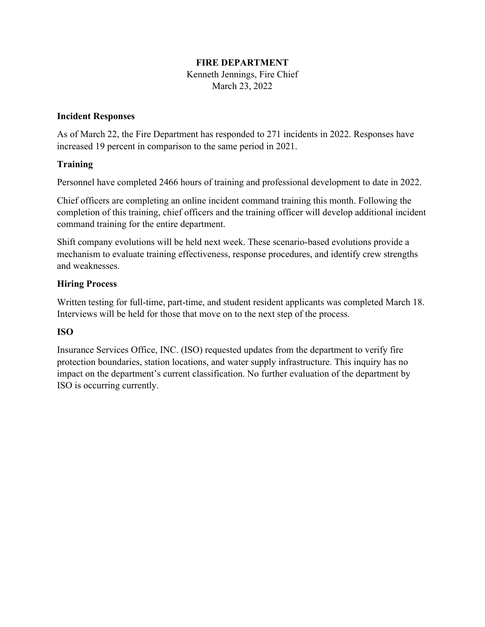# **FIRE DEPARTMENT**

Kenneth Jennings, Fire Chief March 23, 2022

## **Incident Responses**

As of March 22, the Fire Department has responded to 271 incidents in 2022. Responses have increased 19 percent in comparison to the same period in 2021.

# **Training**

Personnel have completed 2466 hours of training and professional development to date in 2022.

Chief officers are completing an online incident command training this month. Following the completion of this training, chief officers and the training officer will develop additional incident command training for the entire department.

Shift company evolutions will be held next week. These scenario-based evolutions provide a mechanism to evaluate training effectiveness, response procedures, and identify crew strengths and weaknesses.

# **Hiring Process**

Written testing for full-time, part-time, and student resident applicants was completed March 18. Interviews will be held for those that move on to the next step of the process.

# **ISO**

Insurance Services Office, INC. (ISO) requested updates from the department to verify fire protection boundaries, station locations, and water supply infrastructure. This inquiry has no impact on the department's current classification. No further evaluation of the department by ISO is occurring currently.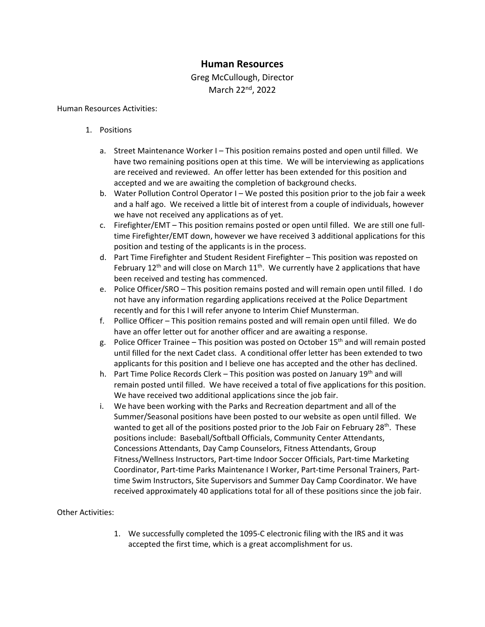# **Human Resources**

# Greg McCullough, Director March 22<sup>nd</sup>, 2022

#### Human Resources Activities:

- 1. Positions
	- a. Street Maintenance Worker I This position remains posted and open until filled. We have two remaining positions open at this time. We will be interviewing as applications are received and reviewed. An offer letter has been extended for this position and accepted and we are awaiting the completion of background checks.
	- b. Water Pollution Control Operator I We posted this position prior to the job fair a week and a half ago. We received a little bit of interest from a couple of individuals, however we have not received any applications as of yet.
	- c. Firefighter/EMT This position remains posted or open until filled. We are still one fulltime Firefighter/EMT down, however we have received 3 additional applications for this position and testing of the applicants is in the process.
	- d. Part Time Firefighter and Student Resident Firefighter This position was reposted on February 12<sup>th</sup> and will close on March  $11<sup>th</sup>$ . We currently have 2 applications that have been received and testing has commenced.
	- e. Police Officer/SRO This position remains posted and will remain open until filled. I do not have any information regarding applications received at the Police Department recently and for this I will refer anyone to Interim Chief Munsterman.
	- f. Pollice Officer This position remains posted and will remain open until filled. We do have an offer letter out for another officer and are awaiting a response.
	- g. Police Officer Trainee This position was posted on October  $15<sup>th</sup>$  and will remain posted until filled for the next Cadet class. A conditional offer letter has been extended to two applicants for this position and I believe one has accepted and the other has declined.
	- h. Part Time Police Records Clerk This position was posted on January 19<sup>th</sup> and will remain posted until filled. We have received a total of five applications for this position. We have received two additional applications since the job fair.
	- i. We have been working with the Parks and Recreation department and all of the Summer/Seasonal positions have been posted to our website as open until filled. We wanted to get all of the positions posted prior to the Job Fair on February  $28<sup>th</sup>$ . These positions include: Baseball/Softball Officials, Community Center Attendants, Concessions Attendants, Day Camp Counselors, Fitness Attendants, Group Fitness/Wellness Instructors, Part-time Indoor Soccer Officials, Part-time Marketing Coordinator, Part-time Parks Maintenance I Worker, Part-time Personal Trainers, Parttime Swim Instructors, Site Supervisors and Summer Day Camp Coordinator. We have received approximately 40 applications total for all of these positions since the job fair.

#### Other Activities:

1. We successfully completed the 1095-C electronic filing with the IRS and it was accepted the first time, which is a great accomplishment for us.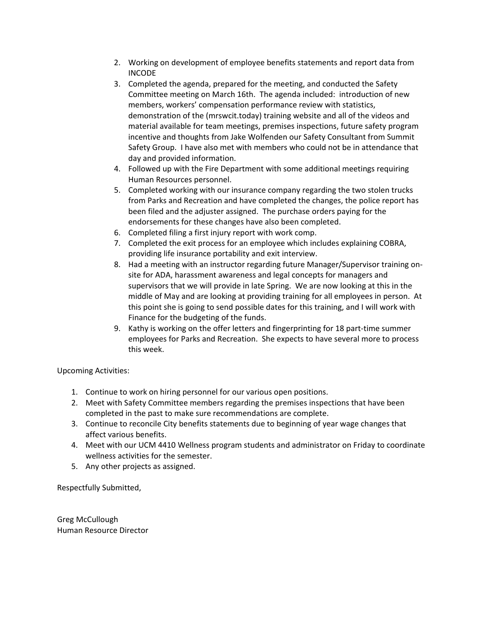- 2. Working on development of employee benefits statements and report data from INCODE
- 3. Completed the agenda, prepared for the meeting, and conducted the Safety Committee meeting on March 16th. The agenda included: introduction of new members, workers' compensation performance review with statistics, demonstration of the (mrswcit.today) training website and all of the videos and material available for team meetings, premises inspections, future safety program incentive and thoughts from Jake Wolfenden our Safety Consultant from Summit Safety Group. I have also met with members who could not be in attendance that day and provided information.
- 4. Followed up with the Fire Department with some additional meetings requiring Human Resources personnel.
- 5. Completed working with our insurance company regarding the two stolen trucks from Parks and Recreation and have completed the changes, the police report has been filed and the adjuster assigned. The purchase orders paying for the endorsements for these changes have also been completed.
- 6. Completed filing a first injury report with work comp.
- 7. Completed the exit process for an employee which includes explaining COBRA, providing life insurance portability and exit interview.
- 8. Had a meeting with an instructor regarding future Manager/Supervisor training onsite for ADA, harassment awareness and legal concepts for managers and supervisors that we will provide in late Spring. We are now looking at this in the middle of May and are looking at providing training for all employees in person. At this point she is going to send possible dates for this training, and I will work with Finance for the budgeting of the funds.
- 9. Kathy is working on the offer letters and fingerprinting for 18 part-time summer employees for Parks and Recreation. She expects to have several more to process this week.

Upcoming Activities:

- 1. Continue to work on hiring personnel for our various open positions.
- 2. Meet with Safety Committee members regarding the premises inspections that have been completed in the past to make sure recommendations are complete.
- 3. Continue to reconcile City benefits statements due to beginning of year wage changes that affect various benefits.
- 4. Meet with our UCM 4410 Wellness program students and administrator on Friday to coordinate wellness activities for the semester.
- 5. Any other projects as assigned.

Respectfully Submitted,

Greg McCullough Human Resource Director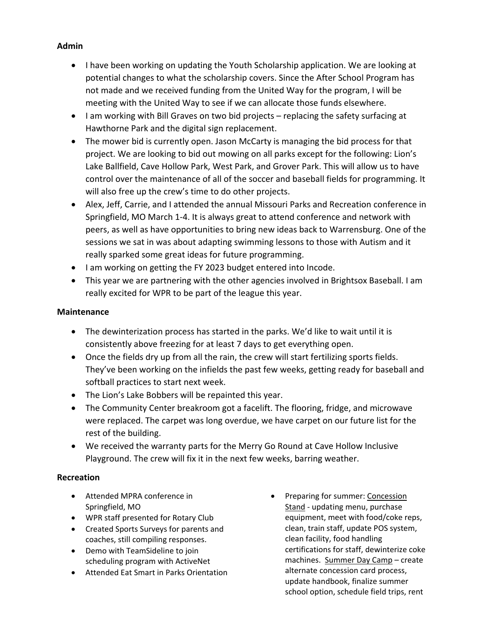# **Admin**

- I have been working on updating the Youth Scholarship application. We are looking at potential changes to what the scholarship covers. Since the After School Program has not made and we received funding from the United Way for the program, I will be meeting with the United Way to see if we can allocate those funds elsewhere.
- I am working with Bill Graves on two bid projects replacing the safety surfacing at Hawthorne Park and the digital sign replacement.
- The mower bid is currently open. Jason McCarty is managing the bid process for that project. We are looking to bid out mowing on all parks except for the following: Lion's Lake Ballfield, Cave Hollow Park, West Park, and Grover Park. This will allow us to have control over the maintenance of all of the soccer and baseball fields for programming. It will also free up the crew's time to do other projects.
- Alex, Jeff, Carrie, and I attended the annual Missouri Parks and Recreation conference in Springfield, MO March 1-4. It is always great to attend conference and network with peers, as well as have opportunities to bring new ideas back to Warrensburg. One of the sessions we sat in was about adapting swimming lessons to those with Autism and it really sparked some great ideas for future programming.
- I am working on getting the FY 2023 budget entered into Incode.
- This year we are partnering with the other agencies involved in Brightsox Baseball. I am really excited for WPR to be part of the league this year.

## **Maintenance**

- The dewinterization process has started in the parks. We'd like to wait until it is consistently above freezing for at least 7 days to get everything open.
- Once the fields dry up from all the rain, the crew will start fertilizing sports fields. They've been working on the infields the past few weeks, getting ready for baseball and softball practices to start next week.
- The Lion's Lake Bobbers will be repainted this year.
- The Community Center breakroom got a facelift. The flooring, fridge, and microwave were replaced. The carpet was long overdue, we have carpet on our future list for the rest of the building.
- We received the warranty parts for the Merry Go Round at Cave Hollow Inclusive Playground. The crew will fix it in the next few weeks, barring weather.

# **Recreation**

- Attended MPRA conference in Springfield, MO
- WPR staff presented for Rotary Club
- Created Sports Surveys for parents and coaches, still compiling responses.
- Demo with TeamSideline to join scheduling program with ActiveNet
- Attended Eat Smart in Parks Orientation
- Preparing for summer: Concession Stand - updating menu, purchase equipment, meet with food/coke reps, clean, train staff, update POS system, clean facility, food handling certifications for staff, dewinterize coke machines. Summer Day Camp – create alternate concession card process, update handbook, finalize summer school option, schedule field trips, rent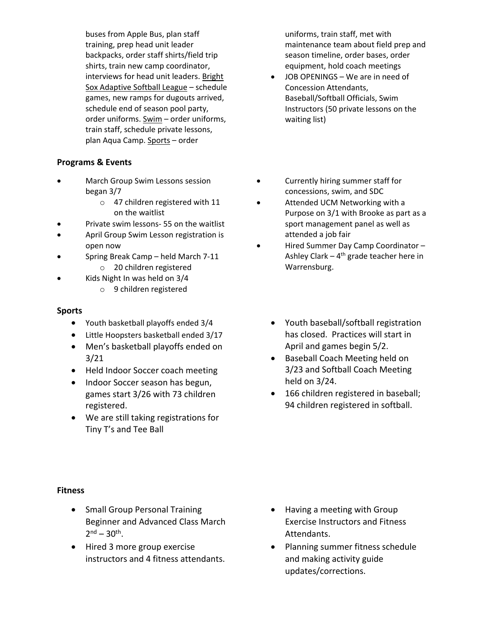buses from Apple Bus, plan staff training, prep head unit leader backpacks, order staff shirts/field trip shirts, train new camp coordinator, interviews for head unit leaders. Bright Sox Adaptive Softball League – schedule games, new ramps for dugouts arrived, schedule end of season pool party, order uniforms. Swim – order uniforms, train staff, schedule private lessons, plan Aqua Camp. Sports – order

## **Programs & Events**

- March Group Swim Lessons session began 3/7
	- o 47 children registered with 11 on the waitlist
- Private swim lessons- 55 on the waitlist
- April Group Swim Lesson registration is open now
- Spring Break Camp held March 7-11
	- o 20 children registered
- Kids Night In was held on 3/4 o 9 children registered

#### **Sports**

- Youth basketball playoffs ended 3/4
- Little Hoopsters basketball ended 3/17
- Men's basketball playoffs ended on 3/21
- Held Indoor Soccer coach meeting
- Indoor Soccer season has begun, games start 3/26 with 73 children registered.
- We are still taking registrations for Tiny T's and Tee Ball

uniforms, train staff, met with maintenance team about field prep and season timeline, order bases, order equipment, hold coach meetings

- JOB OPENINGS We are in need of Concession Attendants, Baseball/Softball Officials, Swim Instructors (50 private lessons on the waiting list)
- Currently hiring summer staff for concessions, swim, and SDC
- Attended UCM Networking with a Purpose on 3/1 with Brooke as part as a sport management panel as well as attended a job fair
- Hired Summer Day Camp Coordinator Ashley Clark –  $4<sup>th</sup>$  grade teacher here in Warrensburg.
	- Youth baseball/softball registration has closed. Practices will start in April and games begin 5/2.
	- Baseball Coach Meeting held on 3/23 and Softball Coach Meeting held on 3/24.
	- 166 children registered in baseball; 94 children registered in softball.

### **Fitness**

- Small Group Personal Training Beginner and Advanced Class March  $2^{nd} - 30^{th}$ .
- Hired 3 more group exercise instructors and 4 fitness attendants.
- Having a meeting with Group Exercise Instructors and Fitness Attendants.
- Planning summer fitness schedule and making activity guide updates/corrections.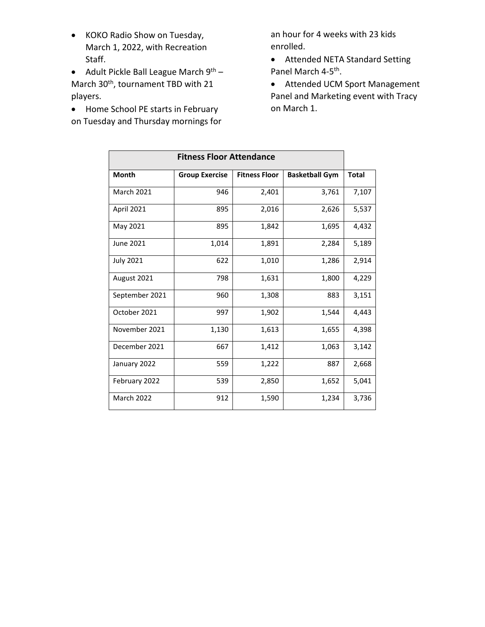- KOKO Radio Show on Tuesday, March 1, 2022, with Recreation Staff.
- Adult Pickle Ball League March  $9^{th}$  March 30<sup>th</sup>, tournament TBD with 21 players.
- Home School PE starts in February on Tuesday and Thursday mornings for

an hour for 4 weeks with 23 kids enrolled.

- Attended NETA Standard Setting Panel March 4-5<sup>th</sup>.
- Attended UCM Sport Management Panel and Marketing event with Tracy on March 1.

| <b>Fitness Floor Attendance</b> |                       |                      |                       |              |
|---------------------------------|-----------------------|----------------------|-----------------------|--------------|
| <b>Month</b>                    | <b>Group Exercise</b> | <b>Fitness Floor</b> | <b>Basketball Gym</b> | <b>Total</b> |
| <b>March 2021</b>               | 946                   | 2,401                | 3,761                 | 7,107        |
| April 2021                      | 895                   | 2,016                | 2,626                 | 5,537        |
| May 2021                        | 895                   | 1,842                | 1,695                 | 4,432        |
| June 2021                       | 1,014                 | 1,891                | 2,284                 | 5,189        |
| <b>July 2021</b>                | 622                   | 1,010                | 1,286                 | 2,914        |
| August 2021                     | 798                   | 1,631                | 1,800                 | 4,229        |
| September 2021                  | 960                   | 1,308                | 883                   | 3,151        |
| October 2021                    | 997                   | 1,902                | 1,544                 | 4,443        |
| November 2021                   | 1,130                 | 1,613                | 1,655                 | 4,398        |
| December 2021                   | 667                   | 1,412                | 1,063                 | 3,142        |
| January 2022                    | 559                   | 1,222                | 887                   | 2,668        |
| February 2022                   | 539                   | 2,850                | 1,652                 | 5,041        |
| <b>March 2022</b>               | 912                   | 1,590                | 1,234                 | 3,736        |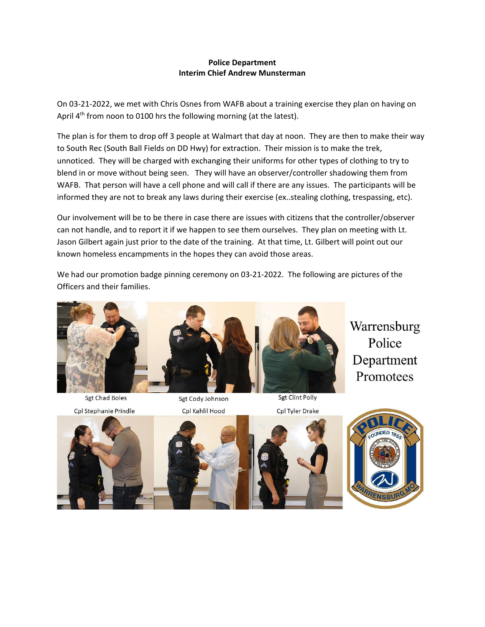#### **Police Department Interim Chief Andrew Munsterman**

On 03-21-2022, we met with Chris Osnes from WAFB about a training exercise they plan on having on April 4<sup>th</sup> from noon to 0100 hrs the following morning (at the latest).

The plan is for them to drop off 3 people at Walmart that day at noon. They are then to make their way to South Rec (South Ball Fields on DD Hwy) for extraction. Their mission is to make the trek, unnoticed. They will be charged with exchanging their uniforms for other types of clothing to try to blend in or move without being seen. They will have an observer/controller shadowing them from WAFB. That person will have a cell phone and will call if there are any issues. The participants will be informed they are not to break any laws during their exercise (ex..stealing clothing, trespassing, etc).

Our involvement will be to be there in case there are issues with citizens that the controller/observer can not handle, and to report it if we happen to see them ourselves. They plan on meeting with Lt. Jason Gilbert again just prior to the date of the training. At that time, Lt. Gilbert will point out our known homeless encampments in the hopes they can avoid those areas.

We had our promotion badge pinning ceremony on 03-21-2022. The following are pictures of the Officers and their families.



Sgt Clint Polly

Warrensburg Police Department Promotees



**Sgt Chad Boles** 





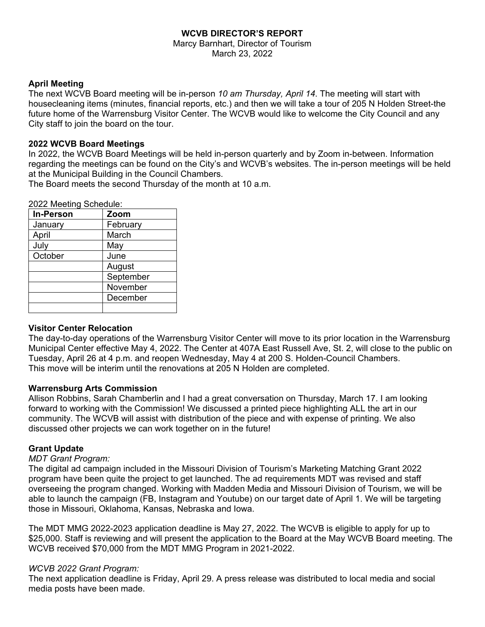### **WCVB DIRECTOR'S REPORT**

Marcy Barnhart, Director of Tourism March 23, 2022

### **April Meeting**

The next WCVB Board meeting will be in-person *10 am Thursday, April 14*. The meeting will start with housecleaning items (minutes, financial reports, etc.) and then we will take a tour of 205 N Holden Street-the future home of the Warrensburg Visitor Center. The WCVB would like to welcome the City Council and any City staff to join the board on the tour.

### **2022 WCVB Board Meetings**

In 2022, the WCVB Board Meetings will be held in-person quarterly and by Zoom in-between. Information regarding the meetings can be found on the City's and WCVB's websites. The in-person meetings will be held at the Municipal Building in the Council Chambers.

The Board meets the second Thursday of the month at 10 a.m.

| <b>In-Person</b> | Zoom      |  |
|------------------|-----------|--|
| January          | February  |  |
| April            | March     |  |
| July             | May       |  |
| October          | June      |  |
|                  | August    |  |
|                  | September |  |
|                  | November  |  |
|                  | December  |  |
|                  |           |  |

### 2022 Meeting Schedule:

# **Visitor Center Relocation**

The day-to-day operations of the Warrensburg Visitor Center will move to its prior location in the Warrensburg Municipal Center effective May 4, 2022. The Center at 407A East Russell Ave, St. 2, will close to the public on Tuesday, April 26 at 4 p.m. and reopen Wednesday, May 4 at 200 S. Holden-Council Chambers. This move will be interim until the renovations at 205 N Holden are completed.

### **Warrensburg Arts Commission**

Allison Robbins, Sarah Chamberlin and I had a great conversation on Thursday, March 17. I am looking forward to working with the Commission! We discussed a printed piece highlighting ALL the art in our community. The WCVB will assist with distribution of the piece and with expense of printing. We also discussed other projects we can work together on in the future!

### **Grant Update**

### *MDT Grant Program:*

The digital ad campaign included in the Missouri Division of Tourism's Marketing Matching Grant 2022 program have been quite the project to get launched. The ad requirements MDT was revised and staff overseeing the program changed. Working with Madden Media and Missouri Division of Tourism, we will be able to launch the campaign (FB, Instagram and Youtube) on our target date of April 1. We will be targeting those in Missouri, Oklahoma, Kansas, Nebraska and Iowa.

The MDT MMG 2022-2023 application deadline is May 27, 2022. The WCVB is eligible to apply for up to \$25,000. Staff is reviewing and will present the application to the Board at the May WCVB Board meeting. The WCVB received \$70,000 from the MDT MMG Program in 2021-2022.

### *WCVB 2022 Grant Program:*

The next application deadline is Friday, April 29. A press release was distributed to local media and social media posts have been made.